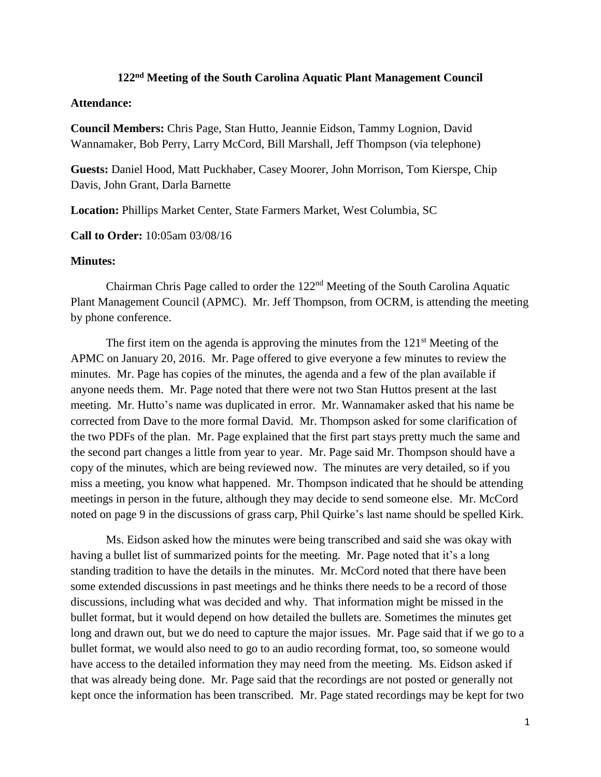## **122nd Meeting of the South Carolina Aquatic Plant Management Council**

## **Attendance:**

**Council Members:** Chris Page, Stan Hutto, Jeannie Eidson, Tammy Lognion, David Wannamaker, Bob Perry, Larry McCord, Bill Marshall, Jeff Thompson (via telephone)

**Guests:** Daniel Hood, Matt Puckhaber, Casey Moorer, John Morrison, Tom Kierspe, Chip Davis, John Grant, Darla Barnette

**Location:** Phillips Market Center, State Farmers Market, West Columbia, SC

**Call to Order:** 10:05am 03/08/16

## **Minutes:**

Chairman Chris Page called to order the 122nd Meeting of the South Carolina Aquatic Plant Management Council (APMC). Mr. Jeff Thompson, from OCRM, is attending the meeting by phone conference.

The first item on the agenda is approving the minutes from the  $121<sup>st</sup>$  Meeting of the APMC on January 20, 2016. Mr. Page offered to give everyone a few minutes to review the minutes. Mr. Page has copies of the minutes, the agenda and a few of the plan available if anyone needs them. Mr. Page noted that there were not two Stan Huttos present at the last meeting. Mr. Hutto's name was duplicated in error. Mr. Wannamaker asked that his name be corrected from Dave to the more formal David. Mr. Thompson asked for some clarification of the two PDFs of the plan. Mr. Page explained that the first part stays pretty much the same and the second part changes a little from year to year. Mr. Page said Mr. Thompson should have a copy of the minutes, which are being reviewed now. The minutes are very detailed, so if you miss a meeting, you know what happened. Mr. Thompson indicated that he should be attending meetings in person in the future, although they may decide to send someone else. Mr. McCord noted on page 9 in the discussions of grass carp, Phil Quirke's last name should be spelled Kirk.

Ms. Eidson asked how the minutes were being transcribed and said she was okay with having a bullet list of summarized points for the meeting. Mr. Page noted that it's a long standing tradition to have the details in the minutes. Mr. McCord noted that there have been some extended discussions in past meetings and he thinks there needs to be a record of those discussions, including what was decided and why. That information might be missed in the bullet format, but it would depend on how detailed the bullets are. Sometimes the minutes get long and drawn out, but we do need to capture the major issues. Mr. Page said that if we go to a bullet format, we would also need to go to an audio recording format, too, so someone would have access to the detailed information they may need from the meeting. Ms. Eidson asked if that was already being done. Mr. Page said that the recordings are not posted or generally not kept once the information has been transcribed. Mr. Page stated recordings may be kept for two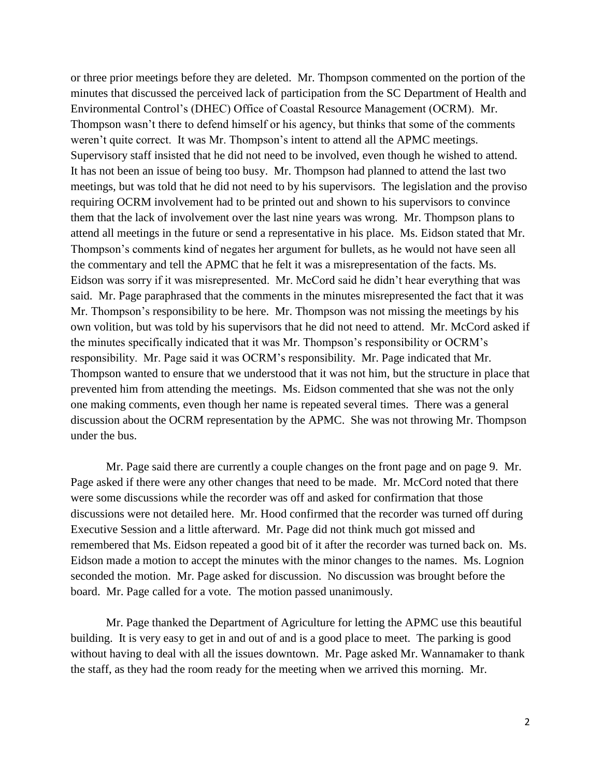or three prior meetings before they are deleted. Mr. Thompson commented on the portion of the minutes that discussed the perceived lack of participation from the SC Department of Health and Environmental Control's (DHEC) Office of Coastal Resource Management (OCRM). Mr. Thompson wasn't there to defend himself or his agency, but thinks that some of the comments weren't quite correct. It was Mr. Thompson's intent to attend all the APMC meetings. Supervisory staff insisted that he did not need to be involved, even though he wished to attend. It has not been an issue of being too busy. Mr. Thompson had planned to attend the last two meetings, but was told that he did not need to by his supervisors. The legislation and the proviso requiring OCRM involvement had to be printed out and shown to his supervisors to convince them that the lack of involvement over the last nine years was wrong. Mr. Thompson plans to attend all meetings in the future or send a representative in his place. Ms. Eidson stated that Mr. Thompson's comments kind of negates her argument for bullets, as he would not have seen all the commentary and tell the APMC that he felt it was a misrepresentation of the facts. Ms. Eidson was sorry if it was misrepresented. Mr. McCord said he didn't hear everything that was said. Mr. Page paraphrased that the comments in the minutes misrepresented the fact that it was Mr. Thompson's responsibility to be here. Mr. Thompson was not missing the meetings by his own volition, but was told by his supervisors that he did not need to attend. Mr. McCord asked if the minutes specifically indicated that it was Mr. Thompson's responsibility or OCRM's responsibility. Mr. Page said it was OCRM's responsibility. Mr. Page indicated that Mr. Thompson wanted to ensure that we understood that it was not him, but the structure in place that prevented him from attending the meetings. Ms. Eidson commented that she was not the only one making comments, even though her name is repeated several times. There was a general discussion about the OCRM representation by the APMC. She was not throwing Mr. Thompson under the bus.

Mr. Page said there are currently a couple changes on the front page and on page 9. Mr. Page asked if there were any other changes that need to be made. Mr. McCord noted that there were some discussions while the recorder was off and asked for confirmation that those discussions were not detailed here. Mr. Hood confirmed that the recorder was turned off during Executive Session and a little afterward. Mr. Page did not think much got missed and remembered that Ms. Eidson repeated a good bit of it after the recorder was turned back on. Ms. Eidson made a motion to accept the minutes with the minor changes to the names. Ms. Lognion seconded the motion. Mr. Page asked for discussion. No discussion was brought before the board. Mr. Page called for a vote. The motion passed unanimously.

Mr. Page thanked the Department of Agriculture for letting the APMC use this beautiful building. It is very easy to get in and out of and is a good place to meet. The parking is good without having to deal with all the issues downtown. Mr. Page asked Mr. Wannamaker to thank the staff, as they had the room ready for the meeting when we arrived this morning. Mr.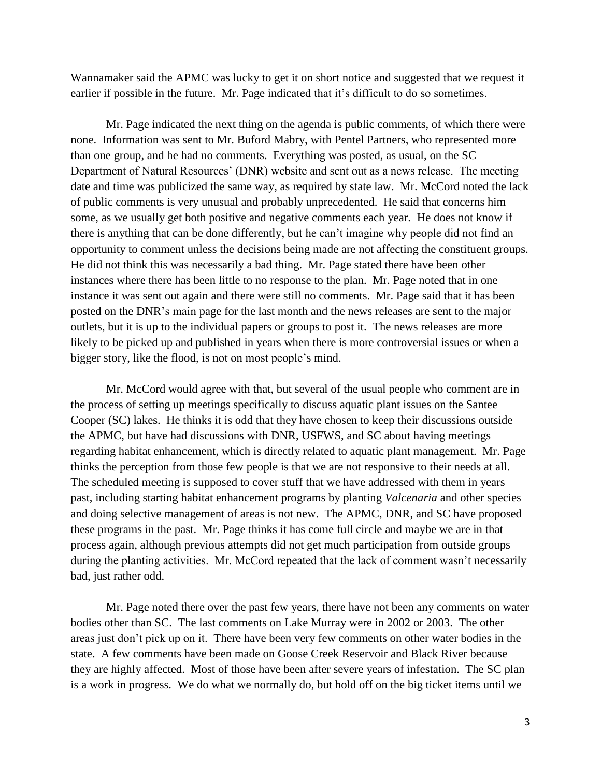Wannamaker said the APMC was lucky to get it on short notice and suggested that we request it earlier if possible in the future. Mr. Page indicated that it's difficult to do so sometimes.

Mr. Page indicated the next thing on the agenda is public comments, of which there were none. Information was sent to Mr. Buford Mabry, with Pentel Partners, who represented more than one group, and he had no comments. Everything was posted, as usual, on the SC Department of Natural Resources' (DNR) website and sent out as a news release. The meeting date and time was publicized the same way, as required by state law. Mr. McCord noted the lack of public comments is very unusual and probably unprecedented. He said that concerns him some, as we usually get both positive and negative comments each year. He does not know if there is anything that can be done differently, but he can't imagine why people did not find an opportunity to comment unless the decisions being made are not affecting the constituent groups. He did not think this was necessarily a bad thing. Mr. Page stated there have been other instances where there has been little to no response to the plan. Mr. Page noted that in one instance it was sent out again and there were still no comments. Mr. Page said that it has been posted on the DNR's main page for the last month and the news releases are sent to the major outlets, but it is up to the individual papers or groups to post it. The news releases are more likely to be picked up and published in years when there is more controversial issues or when a bigger story, like the flood, is not on most people's mind.

Mr. McCord would agree with that, but several of the usual people who comment are in the process of setting up meetings specifically to discuss aquatic plant issues on the Santee Cooper (SC) lakes. He thinks it is odd that they have chosen to keep their discussions outside the APMC, but have had discussions with DNR, USFWS, and SC about having meetings regarding habitat enhancement, which is directly related to aquatic plant management. Mr. Page thinks the perception from those few people is that we are not responsive to their needs at all. The scheduled meeting is supposed to cover stuff that we have addressed with them in years past, including starting habitat enhancement programs by planting *Valcenaria* and other species and doing selective management of areas is not new. The APMC, DNR, and SC have proposed these programs in the past. Mr. Page thinks it has come full circle and maybe we are in that process again, although previous attempts did not get much participation from outside groups during the planting activities. Mr. McCord repeated that the lack of comment wasn't necessarily bad, just rather odd.

Mr. Page noted there over the past few years, there have not been any comments on water bodies other than SC. The last comments on Lake Murray were in 2002 or 2003. The other areas just don't pick up on it. There have been very few comments on other water bodies in the state. A few comments have been made on Goose Creek Reservoir and Black River because they are highly affected. Most of those have been after severe years of infestation. The SC plan is a work in progress. We do what we normally do, but hold off on the big ticket items until we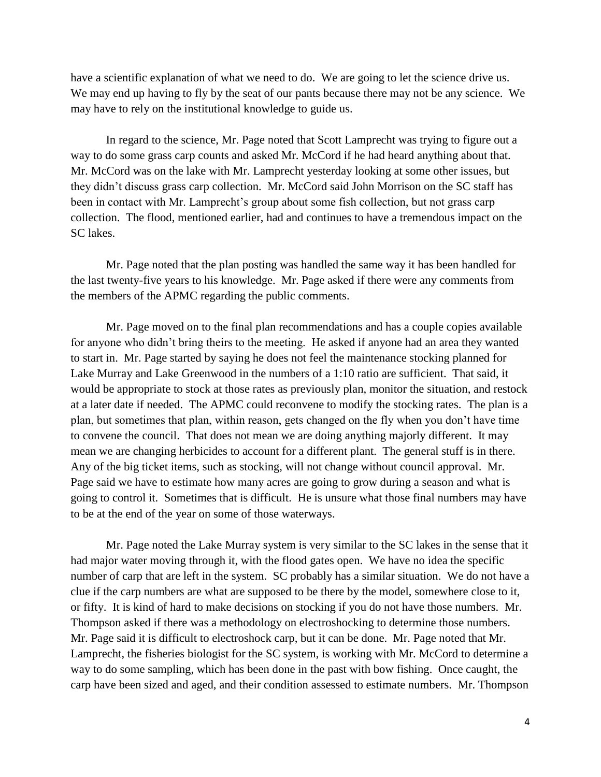have a scientific explanation of what we need to do. We are going to let the science drive us. We may end up having to fly by the seat of our pants because there may not be any science. We may have to rely on the institutional knowledge to guide us.

In regard to the science, Mr. Page noted that Scott Lamprecht was trying to figure out a way to do some grass carp counts and asked Mr. McCord if he had heard anything about that. Mr. McCord was on the lake with Mr. Lamprecht yesterday looking at some other issues, but they didn't discuss grass carp collection. Mr. McCord said John Morrison on the SC staff has been in contact with Mr. Lamprecht's group about some fish collection, but not grass carp collection. The flood, mentioned earlier, had and continues to have a tremendous impact on the SC lakes.

Mr. Page noted that the plan posting was handled the same way it has been handled for the last twenty-five years to his knowledge. Mr. Page asked if there were any comments from the members of the APMC regarding the public comments.

Mr. Page moved on to the final plan recommendations and has a couple copies available for anyone who didn't bring theirs to the meeting. He asked if anyone had an area they wanted to start in. Mr. Page started by saying he does not feel the maintenance stocking planned for Lake Murray and Lake Greenwood in the numbers of a 1:10 ratio are sufficient. That said, it would be appropriate to stock at those rates as previously plan, monitor the situation, and restock at a later date if needed. The APMC could reconvene to modify the stocking rates. The plan is a plan, but sometimes that plan, within reason, gets changed on the fly when you don't have time to convene the council. That does not mean we are doing anything majorly different. It may mean we are changing herbicides to account for a different plant. The general stuff is in there. Any of the big ticket items, such as stocking, will not change without council approval. Mr. Page said we have to estimate how many acres are going to grow during a season and what is going to control it. Sometimes that is difficult. He is unsure what those final numbers may have to be at the end of the year on some of those waterways.

Mr. Page noted the Lake Murray system is very similar to the SC lakes in the sense that it had major water moving through it, with the flood gates open. We have no idea the specific number of carp that are left in the system. SC probably has a similar situation. We do not have a clue if the carp numbers are what are supposed to be there by the model, somewhere close to it, or fifty. It is kind of hard to make decisions on stocking if you do not have those numbers. Mr. Thompson asked if there was a methodology on electroshocking to determine those numbers. Mr. Page said it is difficult to electroshock carp, but it can be done. Mr. Page noted that Mr. Lamprecht, the fisheries biologist for the SC system, is working with Mr. McCord to determine a way to do some sampling, which has been done in the past with bow fishing. Once caught, the carp have been sized and aged, and their condition assessed to estimate numbers. Mr. Thompson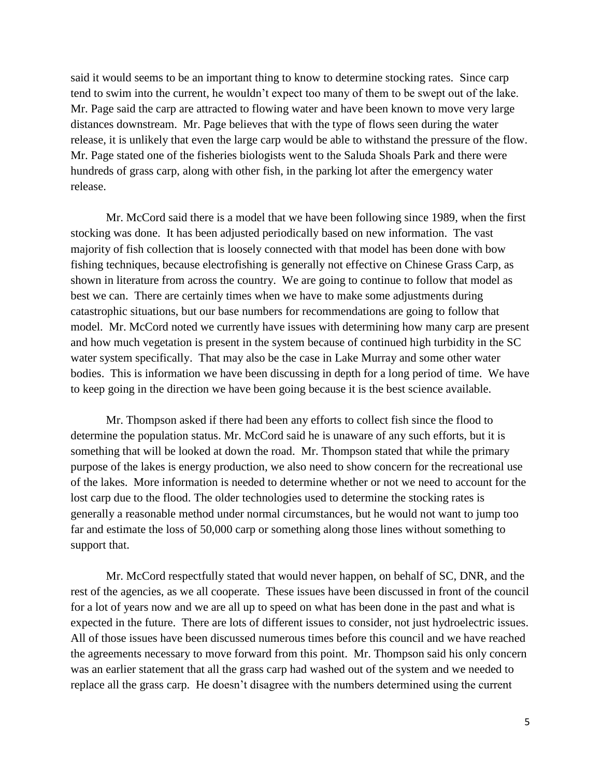said it would seems to be an important thing to know to determine stocking rates. Since carp tend to swim into the current, he wouldn't expect too many of them to be swept out of the lake. Mr. Page said the carp are attracted to flowing water and have been known to move very large distances downstream. Mr. Page believes that with the type of flows seen during the water release, it is unlikely that even the large carp would be able to withstand the pressure of the flow. Mr. Page stated one of the fisheries biologists went to the Saluda Shoals Park and there were hundreds of grass carp, along with other fish, in the parking lot after the emergency water release.

Mr. McCord said there is a model that we have been following since 1989, when the first stocking was done. It has been adjusted periodically based on new information. The vast majority of fish collection that is loosely connected with that model has been done with bow fishing techniques, because electrofishing is generally not effective on Chinese Grass Carp, as shown in literature from across the country. We are going to continue to follow that model as best we can. There are certainly times when we have to make some adjustments during catastrophic situations, but our base numbers for recommendations are going to follow that model. Mr. McCord noted we currently have issues with determining how many carp are present and how much vegetation is present in the system because of continued high turbidity in the SC water system specifically. That may also be the case in Lake Murray and some other water bodies. This is information we have been discussing in depth for a long period of time. We have to keep going in the direction we have been going because it is the best science available.

Mr. Thompson asked if there had been any efforts to collect fish since the flood to determine the population status. Mr. McCord said he is unaware of any such efforts, but it is something that will be looked at down the road. Mr. Thompson stated that while the primary purpose of the lakes is energy production, we also need to show concern for the recreational use of the lakes. More information is needed to determine whether or not we need to account for the lost carp due to the flood. The older technologies used to determine the stocking rates is generally a reasonable method under normal circumstances, but he would not want to jump too far and estimate the loss of 50,000 carp or something along those lines without something to support that.

Mr. McCord respectfully stated that would never happen, on behalf of SC, DNR, and the rest of the agencies, as we all cooperate. These issues have been discussed in front of the council for a lot of years now and we are all up to speed on what has been done in the past and what is expected in the future. There are lots of different issues to consider, not just hydroelectric issues. All of those issues have been discussed numerous times before this council and we have reached the agreements necessary to move forward from this point. Mr. Thompson said his only concern was an earlier statement that all the grass carp had washed out of the system and we needed to replace all the grass carp. He doesn't disagree with the numbers determined using the current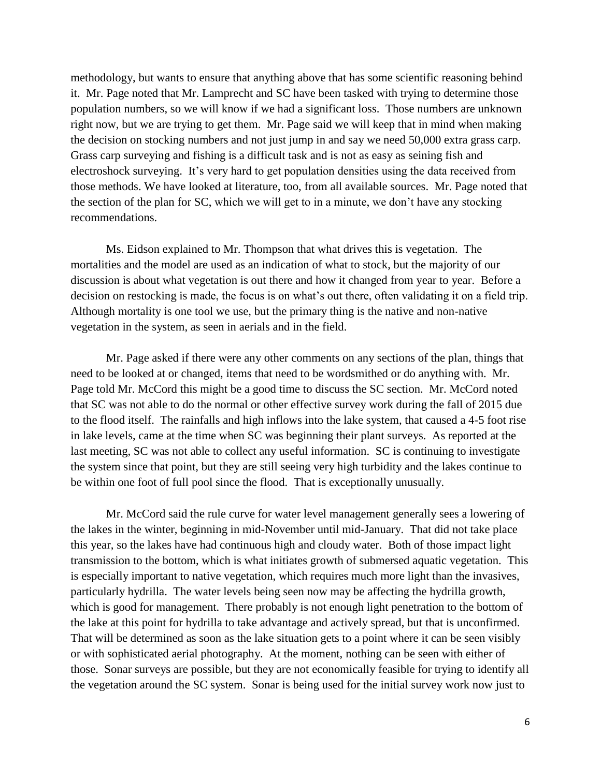methodology, but wants to ensure that anything above that has some scientific reasoning behind it. Mr. Page noted that Mr. Lamprecht and SC have been tasked with trying to determine those population numbers, so we will know if we had a significant loss. Those numbers are unknown right now, but we are trying to get them. Mr. Page said we will keep that in mind when making the decision on stocking numbers and not just jump in and say we need 50,000 extra grass carp. Grass carp surveying and fishing is a difficult task and is not as easy as seining fish and electroshock surveying. It's very hard to get population densities using the data received from those methods. We have looked at literature, too, from all available sources. Mr. Page noted that the section of the plan for SC, which we will get to in a minute, we don't have any stocking recommendations.

Ms. Eidson explained to Mr. Thompson that what drives this is vegetation. The mortalities and the model are used as an indication of what to stock, but the majority of our discussion is about what vegetation is out there and how it changed from year to year. Before a decision on restocking is made, the focus is on what's out there, often validating it on a field trip. Although mortality is one tool we use, but the primary thing is the native and non-native vegetation in the system, as seen in aerials and in the field.

Mr. Page asked if there were any other comments on any sections of the plan, things that need to be looked at or changed, items that need to be wordsmithed or do anything with. Mr. Page told Mr. McCord this might be a good time to discuss the SC section. Mr. McCord noted that SC was not able to do the normal or other effective survey work during the fall of 2015 due to the flood itself. The rainfalls and high inflows into the lake system, that caused a 4-5 foot rise in lake levels, came at the time when SC was beginning their plant surveys. As reported at the last meeting, SC was not able to collect any useful information. SC is continuing to investigate the system since that point, but they are still seeing very high turbidity and the lakes continue to be within one foot of full pool since the flood. That is exceptionally unusually.

Mr. McCord said the rule curve for water level management generally sees a lowering of the lakes in the winter, beginning in mid-November until mid-January. That did not take place this year, so the lakes have had continuous high and cloudy water. Both of those impact light transmission to the bottom, which is what initiates growth of submersed aquatic vegetation. This is especially important to native vegetation, which requires much more light than the invasives, particularly hydrilla. The water levels being seen now may be affecting the hydrilla growth, which is good for management. There probably is not enough light penetration to the bottom of the lake at this point for hydrilla to take advantage and actively spread, but that is unconfirmed. That will be determined as soon as the lake situation gets to a point where it can be seen visibly or with sophisticated aerial photography. At the moment, nothing can be seen with either of those. Sonar surveys are possible, but they are not economically feasible for trying to identify all the vegetation around the SC system. Sonar is being used for the initial survey work now just to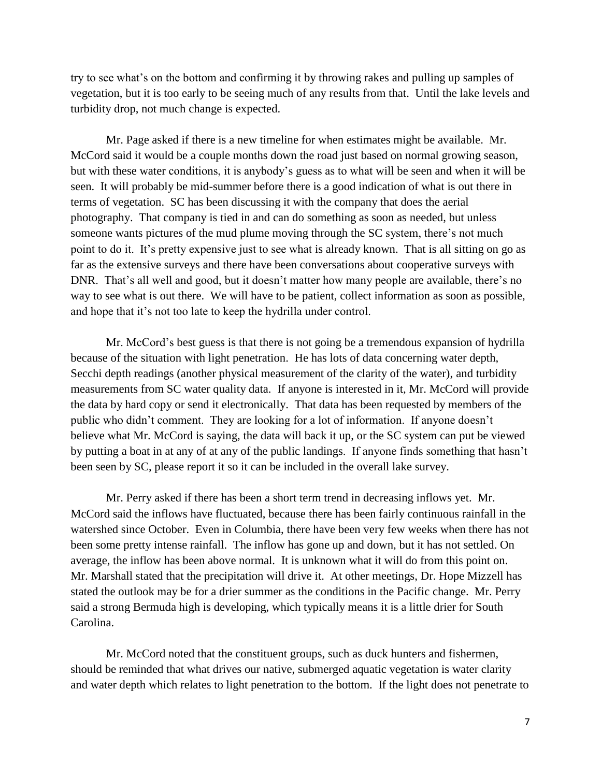try to see what's on the bottom and confirming it by throwing rakes and pulling up samples of vegetation, but it is too early to be seeing much of any results from that. Until the lake levels and turbidity drop, not much change is expected.

Mr. Page asked if there is a new timeline for when estimates might be available. Mr. McCord said it would be a couple months down the road just based on normal growing season, but with these water conditions, it is anybody's guess as to what will be seen and when it will be seen. It will probably be mid-summer before there is a good indication of what is out there in terms of vegetation. SC has been discussing it with the company that does the aerial photography. That company is tied in and can do something as soon as needed, but unless someone wants pictures of the mud plume moving through the SC system, there's not much point to do it. It's pretty expensive just to see what is already known. That is all sitting on go as far as the extensive surveys and there have been conversations about cooperative surveys with DNR. That's all well and good, but it doesn't matter how many people are available, there's no way to see what is out there. We will have to be patient, collect information as soon as possible, and hope that it's not too late to keep the hydrilla under control.

Mr. McCord's best guess is that there is not going be a tremendous expansion of hydrilla because of the situation with light penetration. He has lots of data concerning water depth, Secchi depth readings (another physical measurement of the clarity of the water), and turbidity measurements from SC water quality data. If anyone is interested in it, Mr. McCord will provide the data by hard copy or send it electronically. That data has been requested by members of the public who didn't comment. They are looking for a lot of information. If anyone doesn't believe what Mr. McCord is saying, the data will back it up, or the SC system can put be viewed by putting a boat in at any of at any of the public landings. If anyone finds something that hasn't been seen by SC, please report it so it can be included in the overall lake survey.

Mr. Perry asked if there has been a short term trend in decreasing inflows yet. Mr. McCord said the inflows have fluctuated, because there has been fairly continuous rainfall in the watershed since October. Even in Columbia, there have been very few weeks when there has not been some pretty intense rainfall. The inflow has gone up and down, but it has not settled. On average, the inflow has been above normal. It is unknown what it will do from this point on. Mr. Marshall stated that the precipitation will drive it. At other meetings, Dr. Hope Mizzell has stated the outlook may be for a drier summer as the conditions in the Pacific change. Mr. Perry said a strong Bermuda high is developing, which typically means it is a little drier for South Carolina.

Mr. McCord noted that the constituent groups, such as duck hunters and fishermen, should be reminded that what drives our native, submerged aquatic vegetation is water clarity and water depth which relates to light penetration to the bottom. If the light does not penetrate to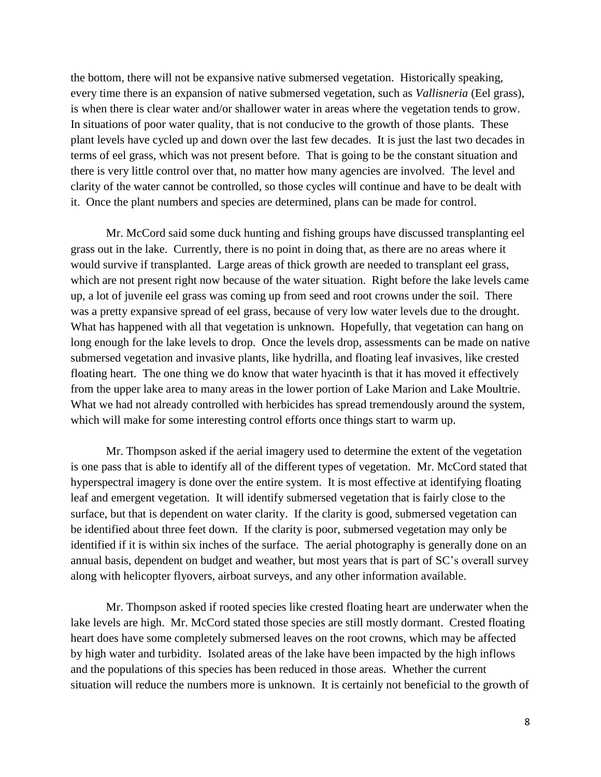the bottom, there will not be expansive native submersed vegetation. Historically speaking, every time there is an expansion of native submersed vegetation, such as *Vallisneria* (Eel grass), is when there is clear water and/or shallower water in areas where the vegetation tends to grow. In situations of poor water quality, that is not conducive to the growth of those plants. These plant levels have cycled up and down over the last few decades. It is just the last two decades in terms of eel grass, which was not present before. That is going to be the constant situation and there is very little control over that, no matter how many agencies are involved. The level and clarity of the water cannot be controlled, so those cycles will continue and have to be dealt with it. Once the plant numbers and species are determined, plans can be made for control.

Mr. McCord said some duck hunting and fishing groups have discussed transplanting eel grass out in the lake. Currently, there is no point in doing that, as there are no areas where it would survive if transplanted. Large areas of thick growth are needed to transplant eel grass, which are not present right now because of the water situation. Right before the lake levels came up, a lot of juvenile eel grass was coming up from seed and root crowns under the soil. There was a pretty expansive spread of eel grass, because of very low water levels due to the drought. What has happened with all that vegetation is unknown. Hopefully, that vegetation can hang on long enough for the lake levels to drop. Once the levels drop, assessments can be made on native submersed vegetation and invasive plants, like hydrilla, and floating leaf invasives, like crested floating heart. The one thing we do know that water hyacinth is that it has moved it effectively from the upper lake area to many areas in the lower portion of Lake Marion and Lake Moultrie. What we had not already controlled with herbicides has spread tremendously around the system, which will make for some interesting control efforts once things start to warm up.

Mr. Thompson asked if the aerial imagery used to determine the extent of the vegetation is one pass that is able to identify all of the different types of vegetation. Mr. McCord stated that hyperspectral imagery is done over the entire system. It is most effective at identifying floating leaf and emergent vegetation. It will identify submersed vegetation that is fairly close to the surface, but that is dependent on water clarity. If the clarity is good, submersed vegetation can be identified about three feet down. If the clarity is poor, submersed vegetation may only be identified if it is within six inches of the surface. The aerial photography is generally done on an annual basis, dependent on budget and weather, but most years that is part of SC's overall survey along with helicopter flyovers, airboat surveys, and any other information available.

Mr. Thompson asked if rooted species like crested floating heart are underwater when the lake levels are high. Mr. McCord stated those species are still mostly dormant. Crested floating heart does have some completely submersed leaves on the root crowns, which may be affected by high water and turbidity. Isolated areas of the lake have been impacted by the high inflows and the populations of this species has been reduced in those areas. Whether the current situation will reduce the numbers more is unknown. It is certainly not beneficial to the growth of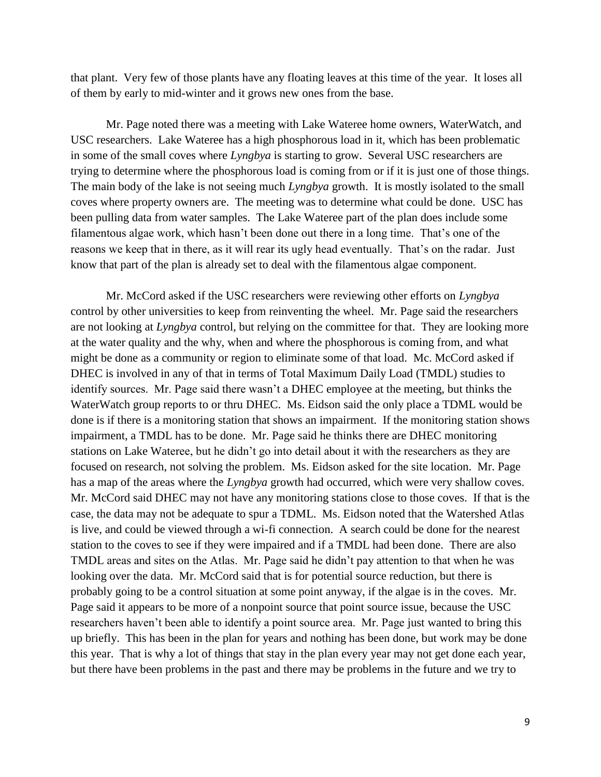that plant. Very few of those plants have any floating leaves at this time of the year. It loses all of them by early to mid-winter and it grows new ones from the base.

Mr. Page noted there was a meeting with Lake Wateree home owners, WaterWatch, and USC researchers. Lake Wateree has a high phosphorous load in it, which has been problematic in some of the small coves where *Lyngbya* is starting to grow. Several USC researchers are trying to determine where the phosphorous load is coming from or if it is just one of those things. The main body of the lake is not seeing much *Lyngbya* growth. It is mostly isolated to the small coves where property owners are. The meeting was to determine what could be done. USC has been pulling data from water samples. The Lake Wateree part of the plan does include some filamentous algae work, which hasn't been done out there in a long time. That's one of the reasons we keep that in there, as it will rear its ugly head eventually. That's on the radar. Just know that part of the plan is already set to deal with the filamentous algae component.

Mr. McCord asked if the USC researchers were reviewing other efforts on *Lyngbya* control by other universities to keep from reinventing the wheel. Mr. Page said the researchers are not looking at *Lyngbya* control, but relying on the committee for that. They are looking more at the water quality and the why, when and where the phosphorous is coming from, and what might be done as a community or region to eliminate some of that load. Mc. McCord asked if DHEC is involved in any of that in terms of Total Maximum Daily Load (TMDL) studies to identify sources. Mr. Page said there wasn't a DHEC employee at the meeting, but thinks the WaterWatch group reports to or thru DHEC. Ms. Eidson said the only place a TDML would be done is if there is a monitoring station that shows an impairment. If the monitoring station shows impairment, a TMDL has to be done. Mr. Page said he thinks there are DHEC monitoring stations on Lake Wateree, but he didn't go into detail about it with the researchers as they are focused on research, not solving the problem. Ms. Eidson asked for the site location. Mr. Page has a map of the areas where the *Lyngbya* growth had occurred, which were very shallow coves. Mr. McCord said DHEC may not have any monitoring stations close to those coves. If that is the case, the data may not be adequate to spur a TDML. Ms. Eidson noted that the Watershed Atlas is live, and could be viewed through a wi-fi connection. A search could be done for the nearest station to the coves to see if they were impaired and if a TMDL had been done. There are also TMDL areas and sites on the Atlas. Mr. Page said he didn't pay attention to that when he was looking over the data. Mr. McCord said that is for potential source reduction, but there is probably going to be a control situation at some point anyway, if the algae is in the coves. Mr. Page said it appears to be more of a nonpoint source that point source issue, because the USC researchers haven't been able to identify a point source area. Mr. Page just wanted to bring this up briefly. This has been in the plan for years and nothing has been done, but work may be done this year. That is why a lot of things that stay in the plan every year may not get done each year, but there have been problems in the past and there may be problems in the future and we try to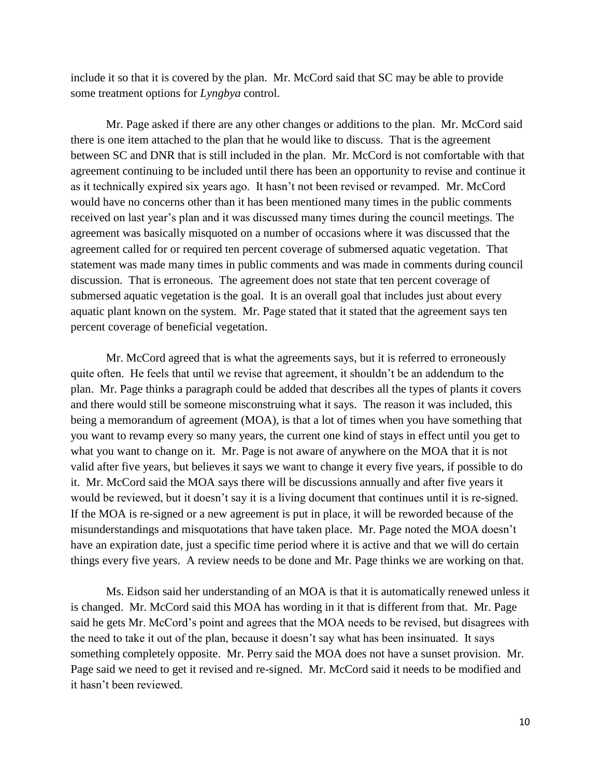include it so that it is covered by the plan. Mr. McCord said that SC may be able to provide some treatment options for *Lyngbya* control.

Mr. Page asked if there are any other changes or additions to the plan. Mr. McCord said there is one item attached to the plan that he would like to discuss. That is the agreement between SC and DNR that is still included in the plan. Mr. McCord is not comfortable with that agreement continuing to be included until there has been an opportunity to revise and continue it as it technically expired six years ago. It hasn't not been revised or revamped. Mr. McCord would have no concerns other than it has been mentioned many times in the public comments received on last year's plan and it was discussed many times during the council meetings. The agreement was basically misquoted on a number of occasions where it was discussed that the agreement called for or required ten percent coverage of submersed aquatic vegetation. That statement was made many times in public comments and was made in comments during council discussion. That is erroneous. The agreement does not state that ten percent coverage of submersed aquatic vegetation is the goal. It is an overall goal that includes just about every aquatic plant known on the system. Mr. Page stated that it stated that the agreement says ten percent coverage of beneficial vegetation.

Mr. McCord agreed that is what the agreements says, but it is referred to erroneously quite often. He feels that until we revise that agreement, it shouldn't be an addendum to the plan. Mr. Page thinks a paragraph could be added that describes all the types of plants it covers and there would still be someone misconstruing what it says. The reason it was included, this being a memorandum of agreement (MOA), is that a lot of times when you have something that you want to revamp every so many years, the current one kind of stays in effect until you get to what you want to change on it. Mr. Page is not aware of anywhere on the MOA that it is not valid after five years, but believes it says we want to change it every five years, if possible to do it. Mr. McCord said the MOA says there will be discussions annually and after five years it would be reviewed, but it doesn't say it is a living document that continues until it is re-signed. If the MOA is re-signed or a new agreement is put in place, it will be reworded because of the misunderstandings and misquotations that have taken place. Mr. Page noted the MOA doesn't have an expiration date, just a specific time period where it is active and that we will do certain things every five years. A review needs to be done and Mr. Page thinks we are working on that.

Ms. Eidson said her understanding of an MOA is that it is automatically renewed unless it is changed. Mr. McCord said this MOA has wording in it that is different from that. Mr. Page said he gets Mr. McCord's point and agrees that the MOA needs to be revised, but disagrees with the need to take it out of the plan, because it doesn't say what has been insinuated. It says something completely opposite. Mr. Perry said the MOA does not have a sunset provision. Mr. Page said we need to get it revised and re-signed. Mr. McCord said it needs to be modified and it hasn't been reviewed.